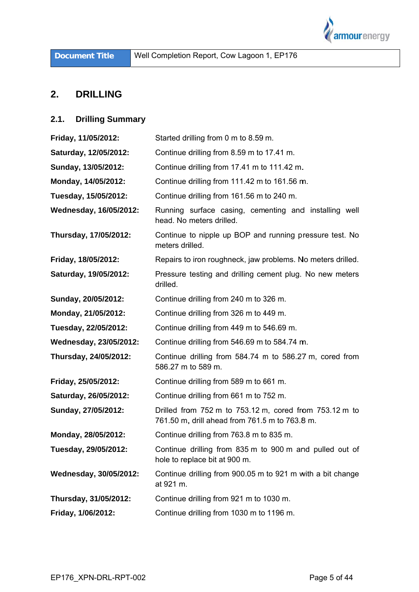

### **2.** DRILLING

# **2.1. Drilling Su ummary**

| Friday, 11/05/2012:           | Started drilling from 0 m to 8.59 m.                                                                     |  |  |  |  |
|-------------------------------|----------------------------------------------------------------------------------------------------------|--|--|--|--|
| Saturday, 12/05/2012:         | Continue drilling from 8.59 m to 17.41 m.                                                                |  |  |  |  |
| Sunday, 13/05/2012:           | Continue drilling from 17.41 m to 111.42 m.                                                              |  |  |  |  |
| Monday, 14/05/2012:           | Continue drilling from 111.42 m to 161.56 m.                                                             |  |  |  |  |
| Tuesday, 15/05/2012:          | Continue drilling from 161.56 m to 240 m.                                                                |  |  |  |  |
| Wednesday, 16/05/2012:        | Running surface casing, cementing and installing well<br>head. No meters drilled.                        |  |  |  |  |
| Thursday, 17/05/2012:         | Continue to nipple up BOP and running pressure test. No<br>meters drilled.                               |  |  |  |  |
| Friday, 18/05/2012:           | Repairs to iron roughneck, jaw problems. No meters drilled.                                              |  |  |  |  |
| Saturday, 19/05/2012:         | Pressure testing and drilling cement plug. No new meters<br>drilled.                                     |  |  |  |  |
| Sunday, 20/05/2012:           | Continue drilling from 240 m to 326 m.                                                                   |  |  |  |  |
| Monday, 21/05/2012:           | Continue drilling from 326 m to 449 m.                                                                   |  |  |  |  |
| Tuesday, 22/05/2012:          | Continue drilling from 449 m to 546.69 m.                                                                |  |  |  |  |
| <b>Wednesday, 23/05/2012:</b> | Continue drilling from 546.69 m to 584.74 m.                                                             |  |  |  |  |
| Thursday, 24/05/2012:         | Continue drilling from 584.74 m to 586.27 m, cored from<br>586.27 m to 589 m.                            |  |  |  |  |
| Friday, 25/05/2012:           | Continue drilling from 589 m to 661 m.                                                                   |  |  |  |  |
| Saturday, 26/05/2012:         | Continue drilling from 661 m to 752 m.                                                                   |  |  |  |  |
| Sunday, 27/05/2012:           | Drilled from 752 m to 753.12 m, cored from 753.12 m to<br>761.50 m, drill ahead from 761.5 m to 763.8 m. |  |  |  |  |
| Monday, 28/05/2012:           | Continue drilling from 763.8 m to 835 m.                                                                 |  |  |  |  |
| Tuesday, 29/05/2012:          | Continue drilling from 835 m to 900 m and pulled out of<br>hole to replace bit at 900 m.                 |  |  |  |  |
| Wednesday, 30/05/2012:        | Continue drilling from 900.05 m to 921 m with a bit change<br>at 921 m.                                  |  |  |  |  |
| Thursday, 31/05/2012:         | Continue drilling from 921 m to 1030 m.                                                                  |  |  |  |  |
| Friday, 1/06/2012:            | Continue drilling from 1030 m to 1196 m.                                                                 |  |  |  |  |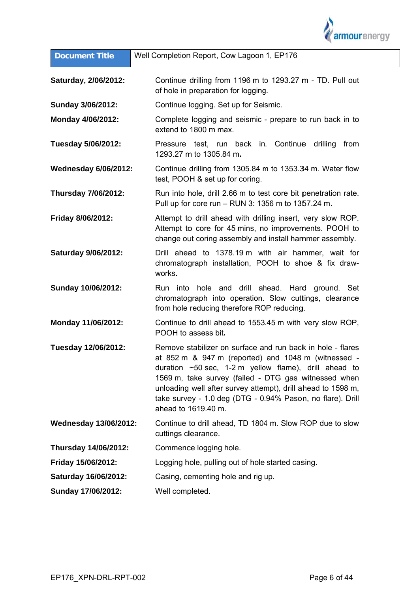

| <b>Document Title</b>        | Well Completion Report, Cow Lagoon 1, EP176                                                                                                                                                                                                                                                                                                                                                   |  |  |  |  |  |
|------------------------------|-----------------------------------------------------------------------------------------------------------------------------------------------------------------------------------------------------------------------------------------------------------------------------------------------------------------------------------------------------------------------------------------------|--|--|--|--|--|
| Saturday, 2/06/2012:         | Continue drilling from 1196 m to 1293.27 m - TD. Pull out<br>of hole in preparation for logging.                                                                                                                                                                                                                                                                                              |  |  |  |  |  |
| Sunday 3/06/2012:            | Continue logging. Set up for Seismic.                                                                                                                                                                                                                                                                                                                                                         |  |  |  |  |  |
| Monday 4/06/2012:            | Complete logging and seismic - prepare to run back in to<br>extend to 1800 m max.                                                                                                                                                                                                                                                                                                             |  |  |  |  |  |
| Tuesday 5/06/2012:           | Pressure test, run back in. Continue<br>drilling<br>from<br>1293.27 m to 1305.84 m.                                                                                                                                                                                                                                                                                                           |  |  |  |  |  |
| <b>Wednesday 6/06/2012:</b>  | Continue drilling from 1305.84 m to 1353.34 m. Water flow<br>test, POOH & set up for coring.                                                                                                                                                                                                                                                                                                  |  |  |  |  |  |
| <b>Thursday 7/06/2012:</b>   | Run into hole, drill 2.66 m to test core bit penetration rate.<br>Pull up for core run - RUN 3: 1356 m to 1357.24 m.                                                                                                                                                                                                                                                                          |  |  |  |  |  |
| Friday 8/06/2012:            | Attempt to drill ahead with drilling insert, very slow ROP.<br>Attempt to core for 45 mins, no improvements. POOH to<br>change out coring assembly and install hammer assembly.                                                                                                                                                                                                               |  |  |  |  |  |
| <b>Saturday 9/06/2012:</b>   | Drill ahead to 1378.19 m with air hammer, wait for<br>chromatograph installation, POOH to shoe & fix draw-<br>works.                                                                                                                                                                                                                                                                          |  |  |  |  |  |
| Sunday 10/06/2012:           | Run into hole and drill ahead. Hard ground. Set<br>chromatograph into operation. Slow cuttings, clearance<br>from hole reducing therefore ROP reducing.                                                                                                                                                                                                                                       |  |  |  |  |  |
| Monday 11/06/2012:           | Continue to drill ahead to 1553.45 m with very slow ROP,<br>POOH to assess bit.                                                                                                                                                                                                                                                                                                               |  |  |  |  |  |
| Tuesday 12/06/2012:          | Remove stabilizer on surface and run back in hole - flares<br>at 852 m & 947 m (reported) and 1048 m (witnessed -<br>duration $\sim$ 50 sec, 1-2 m yellow flame), drill ahead to<br>1569 m, take survey (failed - DTG gas witnessed when<br>unloading well after survey attempt), drill ahead to 1598 m,<br>take survey - 1.0 deg (DTG - 0.94% Pason, no flare). Drill<br>ahead to 1619.40 m. |  |  |  |  |  |
| <b>Wednesday 13/06/2012:</b> | Continue to drill ahead, TD 1804 m. Slow ROP due to slow<br>cuttings clearance.                                                                                                                                                                                                                                                                                                               |  |  |  |  |  |
| Thursday 14/06/2012:         | Commence logging hole.                                                                                                                                                                                                                                                                                                                                                                        |  |  |  |  |  |
| Friday 15/06/2012:           | Logging hole, pulling out of hole started casing.                                                                                                                                                                                                                                                                                                                                             |  |  |  |  |  |
| Saturday 16/06/2012:         | Casing, cementing hole and rig up.                                                                                                                                                                                                                                                                                                                                                            |  |  |  |  |  |
| Sunday 17/06/2012:           | Well completed.                                                                                                                                                                                                                                                                                                                                                                               |  |  |  |  |  |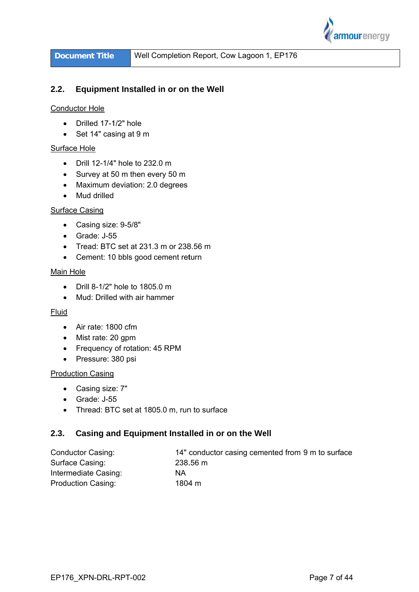

**Docum ment Title**

#### **2.2. Equipment Installed in or on the Well**

# Conductor Hole

- Drilled 17-1/2" hole
- Set 14" casing at 9 m

# Surface Hole

- Drill 12-1/4" hole to 232.0 m
- Survey at 50 m then every 50 m
- Maximum deviation: 2.0 degrees
- Mud drilled

# Surface Casing

- Casing size: 9-5/8"
- Grade: J-55
- Grade: J-55<br>● Tread: BTC set at 231.3 m or 238.56 m
- Cement: 10 bbls good cement return

### Main Hole

- $\bullet$ Drill 8-1/2" hole to 180 05.0 m
- Mud: Drilled with air hammer

### Fluid

- Air rate: 1800 cfm
- Mist rate: 20 gpm
- Frequency of rotation: 45 RPM
- Pressure: 380 psi

# **Production Casing**

- Casing size: 7"
- Grade: J-55
- Grade: J-55<br>● Thread: BTC set at 1805.0 m, run to surface

#### **2.3. Casing and Equipment Installed in or on the Well**

| Conductor Casing:         | 14" conductor casing cemented from 9 m to surface |
|---------------------------|---------------------------------------------------|
| Surface Casing:           | 238.56 m                                          |
| Intermediate Casing:      | ΝA                                                |
| <b>Production Casing:</b> | 1804 m                                            |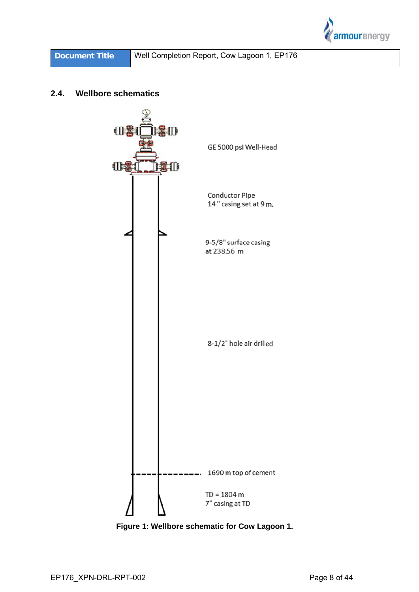

#### $2.4.$ **Wellbore schematics**



Figure 1: Wellbore schematic for Cow Lagoon 1.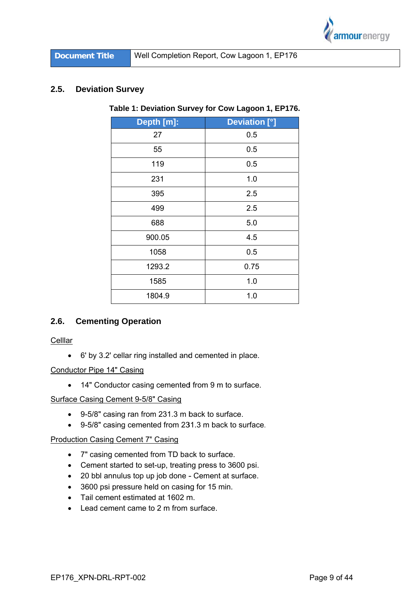

#### $2.5.$ **Deviation Survey**

| Depth [m]: | <b>Deviation [°]</b> |  |  |  |
|------------|----------------------|--|--|--|
| 27         | 0.5                  |  |  |  |
| 55         | 0.5                  |  |  |  |
| 119        | 0.5                  |  |  |  |
| 231        | 1.0                  |  |  |  |
| 395        | 2.5                  |  |  |  |
| 499        | 2.5                  |  |  |  |
| 688        | 5.0                  |  |  |  |
| 900.05     | 4.5                  |  |  |  |
| 1058       | 0.5                  |  |  |  |
| 1293.2     | 0.75                 |  |  |  |
| 1585       | 1.0                  |  |  |  |
| 1804.9     | 1.0                  |  |  |  |
|            |                      |  |  |  |

# Table 1: Deviation Survey for Cow Lagoon 1, EP176.

#### $2.6.$ **Cementing Operation**

Celllar

• 6' by 3.2' cellar ring installed and cemented in place.

# **Conductor Pipe 14" Casing**

• 14" Conductor casing cemented from 9 m to surface.

# **Surface Casing Cement 9-5/8" Casing**

- 9-5/8" casing ran from 231.3 m back to surface.
- 9-5/8" casing cemented from 231.3 m back to surface.

### **Production Casing Cement 7" Casing**

- 7" casing cemented from TD back to surface.
- Cement started to set-up, treating press to 3600 psi.
- 20 bbl annulus top up job done Cement at surface.
- 3600 psi pressure held on casing for 15 min.
- Tail cement estimated at 1602 m.
- Lead cement came to 2 m from surface.